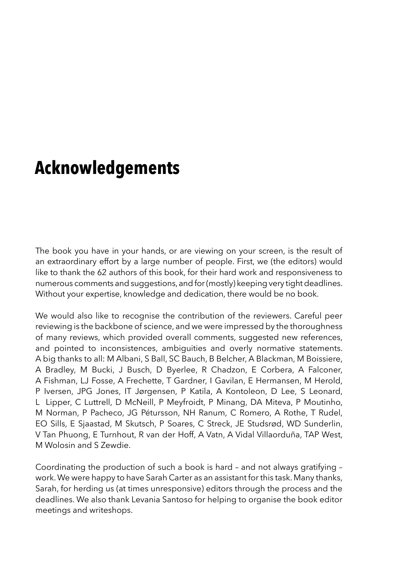## **Acknowledgements**

The book you have in your hands, or are viewing on your screen, is the result of an extraordinary effort by a large number of people. First, we (the editors) would like to thank the 62 authors of this book, for their hard work and responsiveness to numerous comments and suggestions, and for (mostly) keeping very tight deadlines. Without your expertise, knowledge and dedication, there would be no book.

We would also like to recognise the contribution of the reviewers. Careful peer reviewing is the backbone of science, and we were impressed by the thoroughness of many reviews, which provided overall comments, suggested new references, and pointed to inconsistences, ambiguities and overly normative statements. A big thanks to all: M Albani, S Ball, SC Bauch, B Belcher, A Blackman, M Boissiere, A Bradley, M Bucki, J Busch, D Byerlee, R Chadzon, E Corbera, A Falconer, A Fishman, LJ Fosse, A Frechette, T Gardner, I Gavilan, E Hermansen, M Herold, P Iversen, JPG Jones, IT Jørgensen, P Katila, A Kontoleon, D Lee, S Leonard, L Lipper, C Luttrell, D McNeill, P Meyfroidt, P Minang, DA Miteva, P Moutinho, M Norman, P Pacheco, JG Pétursson, NH Ranum, C Romero, A Rothe, T Rudel, EO Sills, E Sjaastad, M Skutsch, P Soares, C Streck, JE Studsrød, WD Sunderlin, V Tan Phuong, E Turnhout, R van der Hoff, A Vatn, A Vidal Villaorduña, TAP West, M Wolosin and S Zewdie.

Coordinating the production of such a book is hard – and not always gratifying – work. We were happy to have Sarah Carter as an assistant for this task. Many thanks, Sarah, for herding us (at times unresponsive) editors through the process and the deadlines. We also thank Levania Santoso for helping to organise the book editor meetings and writeshops.